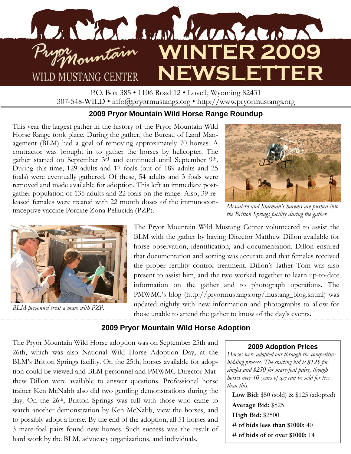

P.O. Box 385 • 1106 Road 12 • Lovell, Wyoming 82431 307-548-WILD • info@pryormustangs.org • http://www.pryormustangs.org

# **2009 Pryor Mountain Wild Horse Range Roundup**

This year the largest gather in the history of the Pryor Mountain Wild Horse Range took place. During the gather, the Bureau of Land Management (BLM) had a goal of removing approximately 70 horses. A contractor was brought in to gather the horses by helicopter. The gather started on September 3rd and continued until September 9th. During this time, 129 adults and 17 foals (out of 189 adults and 25 foals) were eventually gathered. Of these, 54 adults and 3 foals were removed and made available for adoption. This left an immediate postgather population of 135 adults and 22 foals on the range. Also, 39 released females were treated with 22 month doses of the immunocontraceptive vaccine Porcine Zona Pellucida (PZP).



*Mescalero and Starman's harems are pushed into the Britton Springs facility during the gather.* 



*BLM personnel treat a mare with PZP.* 

The Pryor Mountain Wild Mustang Center volunteered to assist the BLM with the gather by having Director Matthew Dillon available for horse observation, identification, and documentation. Dillon ensured that documentation and sorting was accurate and that females received the proper fertility control treatment. Dillon's father Tom was also present to assist him, and the two worked together to learn up-to-date information on the gather and to photograph operations. The PMWMC's blog (http://pryormustangs.org/mustang\_blog.shtml) was updated nightly with new information and photographs to allow for those unable to attend the gather to know of the day's events.

# **2009 Pryor Mountain Wild Horse Adoption**

The Pryor Mountain Wild Horse adoption was on September 25th and 26th, which was also National Wild Horse Adoption Day, at the BLM's Britton Springs facility. On the 25th, horses available for adoption could be viewed and BLM personnel and PMWMC Director Matthew Dillon were available to answer questions. Professional horse trainer Ken McNabb also did two gentling demonstrations during the day. On the 26<sup>th</sup>, Britton Springs was full with those who came to watch another demonstration by Ken McNabb, view the horses, and to possibly adopt a horse. By the end of the adoption, all 51 horses and 3 mare-foal pairs found new homes. Such success was the result of hard work by the BLM, advocacy organizations, and individuals.

#### **2009 Adoption Prices**

*Horses were adopted out through the competitive bidding process. The starting bid is \$125 for singles and \$250 for mare-foal pairs, though horses over 10 years of age can be sold for less than this.* 

**Low Bid:** \$50 (sold) & \$125 (adopted) **Average Bid:** \$525 **High Bid:** \$2500 **# of bids less than \$1000:** 40 **# of bids of or over \$1000:** 14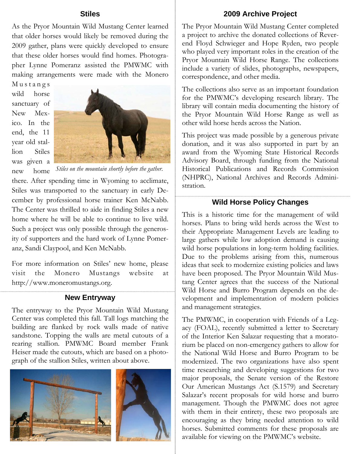## **Stiles**

As the Pryor Mountain Wild Mustang Center learned that older horses would likely be removed during the 2009 gather, plans were quickly developed to ensure that these older horses would find homes. Photographer Lynne Pomeranz assisted the PMWMC with making arrangements were made with the Monero

M u s t a n g s wild horse sanctuary of New Mexico. In the end, the 11 year old stallion Stiles was given a new home



*Stiles on the mountain shortly before the gather.* 

there. After spending time in Wyoming to acclimate, Stiles was transported to the sanctuary in early December by professional horse trainer Ken McNabb. The Center was thrilled to aide in finding Stiles a new home where he will be able to continue to live wild. Such a project was only possible through the generosity of supporters and the hard work of Lynne Pomeranz, Sandi Claypool, and Ken McNabb.

For more information on Stiles' new home, please visit the Monero Mustangs website at http://www.moneromustangs.org.

### **New Entryway**

The entryway to the Pryor Mountain Wild Mustang Center was completed this fall. Tall logs matching the building are flanked by rock walls made of native sandstone. Topping the walls are metal cutouts of a rearing stallion. PMWMC Board member Frank Heiser made the cutouts, which are based on a photograph of the stallion Stiles, written about above.



## **2009 Archive Project**

The Pryor Mountain Wild Mustang Center completed a project to archive the donated collections of Reverend Floyd Schwieger and Hope Ryden, two people who played very important roles in the creation of the Pryor Mountain Wild Horse Range. The collections include a variety of slides, photographs, newspapers, correspondence, and other media.

The collections also serve as an important foundation for the PMWMC's developing research library. The library will contain media documenting the history of the Pryor Mountain Wild Horse Range as well as other wild horse herds across the Nation.

This project was made possible by a generous private donation, and it was also supported in part by an award from the Wyoming State Historical Records Advisory Board, through funding from the National Historical Publications and Records Commission (NHPRC), National Archives and Records Administration.

## **Wild Horse Policy Changes**

This is a historic time for the management of wild horses. Plans to bring wild herds across the West to their Appropriate Management Levels are leading to large gathers while low adoption demand is causing wild horse populations in long-term holding facilities. Due to the problems arising from this, numerous ideas that seek to modernize existing policies and laws have been proposed. The Pryor Mountain Wild Mustang Center agrees that the success of the National Wild Horse and Burro Program depends on the development and implementation of modern policies and management strategies.

The PMWMC, in cooperation with Friends of a Legacy (FOAL), recently submitted a letter to Secretary of the Interior Ken Salazar requesting that a moratorium be placed on non-emergency gathers to allow for the National Wild Horse and Burro Program to be modernized. The two organizations have also spent time researching and developing suggestions for two major proposals, the Senate version of the Restore Our American Mustangs Act (S.1579) and Secretary Salazar's recent proposals for wild horse and burro management. Though the PMWMC does not agree with them in their entirety, these two proposals are encouraging as they bring needed attention to wild horses. Submitted comments for these proposals are available for viewing on the PMWMC's website.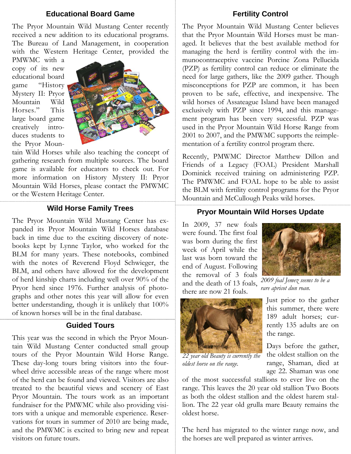## **Educational Board Game**

The Pryor Mountain Wild Mustang Center recently received a new addition to its educational programs. The Bureau of Land Management, in cooperation with the Western Heritage Center, provided the

PMWMC with a copy of its new educational board game "History Mystery II: Pryor Mountain Wild Horses." This large board game creatively introduces students to the Pryor Moun-



tain Wild Horses while also teaching the concept of gathering research from multiple sources. The board game is available for educators to check out. For more information on History Mystery II: Pryor Mountain Wild Horses, please contact the PMWMC or the Western Heritage Center.

## **Wild Horse Family Trees**

The Pryor Mountain Wild Mustang Center has expanded its Pryor Mountain Wild Horses database back in time due to the exciting discovery of notebooks kept by Lynne Taylor, who worked for the BLM for many years. These notebooks, combined with the notes of Reverend Floyd Schwieger, the BLM, and others have allowed for the development of herd kinship charts including well over 90% of the Pryor herd since 1976. Further analysis of photographs and other notes this year will allow for even better understanding, though it is unlikely that 100% of known horses will be in the final database.

# **Guided Tours**

This year was the second in which the Pryor Mountain Wild Mustang Center conducted small group tours of the Pryor Mountain Wild Horse Range. These day-long tours bring visitors into the fourwheel drive accessible areas of the range where most of the herd can be found and viewed. Visitors are also treated to the beautiful views and scenery of East Pryor Mountain. The tours work as an important fundraiser for the PMWMC while also providing visitors with a unique and memorable experience. Reservations for tours in summer of 2010 are being made, and the PMWMC is excited to bring new and repeat visitors on future tours.

## **Fertility Control**

The Pryor Mountain Wild Mustang Center believes that the Pryor Mountain Wild Horses must be managed. It believes that the best available method for managing the herd is fertility control with the immunocontraceptive vaccine Porcine Zona Pellucida (PZP) as fertility control can reduce or eliminate the need for large gathers, like the 2009 gather. Though misconceptions for PZP are common, it has been proven to be safe, effective, and inexpensive. The wild horses of Assateague Island have been managed exclusively with PZP since 1994, and this management program has been very successful. PZP was used in the Pryor Mountain Wild Horse Range from 2001 to 2007, and the PMWMC supports the reimplementation of a fertility control program there.

Recently, PMWMC Director Matthew Dillon and Friends of a Legacy (FOAL) President Marshall Dominick received training on administering PZP. The PMWMC and FOAL hope to be able to assist the BLM with fertility control programs for the Pryor Mountain and McCullough Peaks wild horses.

## **Pryor Mountain Wild Horses Update**

In 2009, 37 new foals were found. The first foal was born during the first week of April while the last was born toward the end of August. Following the removal of 3 foals and the death of 13 foals, there are now 21 foals.



*2009 foal Jemez seems to be a rare apricot dun roan.* 



*22 year old Beauty is currently the oldest horse on the range.* 

Just prior to the gather this summer, there were 189 adult horses; currently 135 adults are on the range.

Days before the gather, the oldest stallion on the range, Shaman, died at age 22. Shaman was one

of the most successful stallions to ever live on the range. This leaves the 20 year old stallion Two Boots as both the oldest stallion and the oldest harem stallion. The 22 year old grulla mare Beauty remains the oldest horse.

The herd has migrated to the winter range now, and the horses are well prepared as winter arrives.